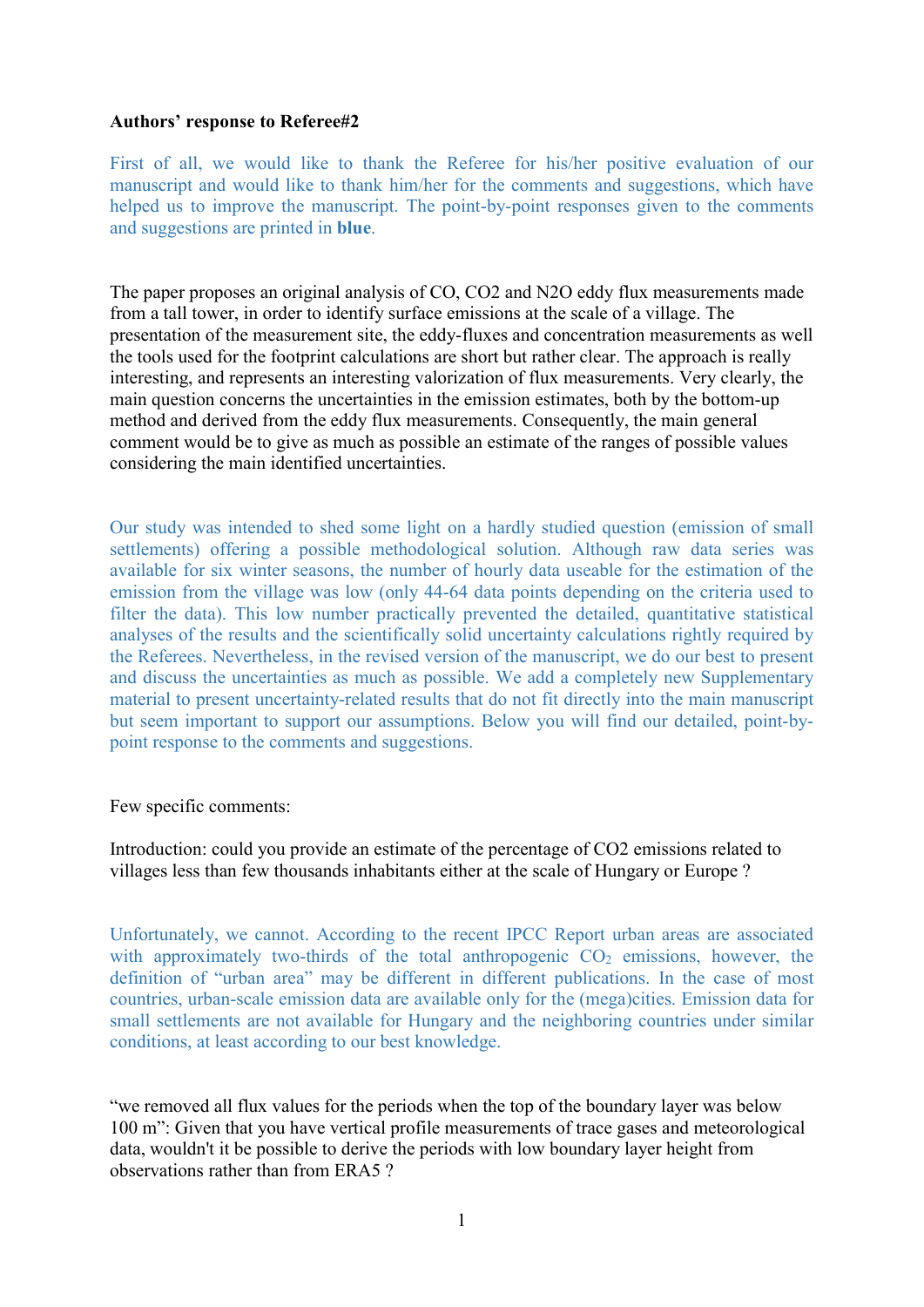## Authors' response to Referee#2

First of all, we would like to thank the Referee for his/her positive evaluation of our manuscript and would like to thank him/her for the comments and suggestions, which have helped us to improve the manuscript. The point-by-point responses given to the comments and suggestions are printed in blue.

The paper proposes an original analysis of CO, CO2 and N2O eddy flux measurements made from a tall tower, in order to identify surface emissions at the scale of a village. The presentation of the measurement site, the eddy-fluxes and concentration measurements as well the tools used for the footprint calculations are short but rather clear. The approach is really interesting, and represents an interesting valorization of flux measurements. Very clearly, the main question concerns the uncertainties in the emission estimates, both by the bottom-up method and derived from the eddy flux measurements. Consequently, the main general comment would be to give as much as possible an estimate of the ranges of possible values considering the main identified uncertainties.

Our study was intended to shed some light on a hardly studied question (emission of small settlements) offering a possible methodological solution. Although raw data series was available for six winter seasons, the number of hourly data useable for the estimation of the emission from the village was low (only 44-64 data points depending on the criteria used to filter the data). This low number practically prevented the detailed, quantitative statistical analyses of the results and the scientifically solid uncertainty calculations rightly required by the Referees. Nevertheless, in the revised version of the manuscript, we do our best to present and discuss the uncertainties as much as possible. We add a completely new Supplementary material to present uncertainty-related results that do not fit directly into the main manuscript but seem important to support our assumptions. Below you will find our detailed, point-bypoint response to the comments and suggestions.

Few specific comments:

Introduction: could you provide an estimate of the percentage of CO2 emissions related to villages less than few thousands inhabitants either at the scale of Hungary or Europe ?

Unfortunately, we cannot. According to the recent IPCC Report urban areas are associated with approximately two-thirds of the total anthropogenic  $CO<sub>2</sub>$  emissions, however, the definition of "urban area" may be different in different publications. In the case of most countries, urban-scale emission data are available only for the (mega)cities. Emission data for small settlements are not available for Hungary and the neighboring countries under similar conditions, at least according to our best knowledge.

"we removed all flux values for the periods when the top of the boundary layer was below 100 m": Given that you have vertical profile measurements of trace gases and meteorological data, wouldn't it be possible to derive the periods with low boundary layer height from observations rather than from ERA5 ?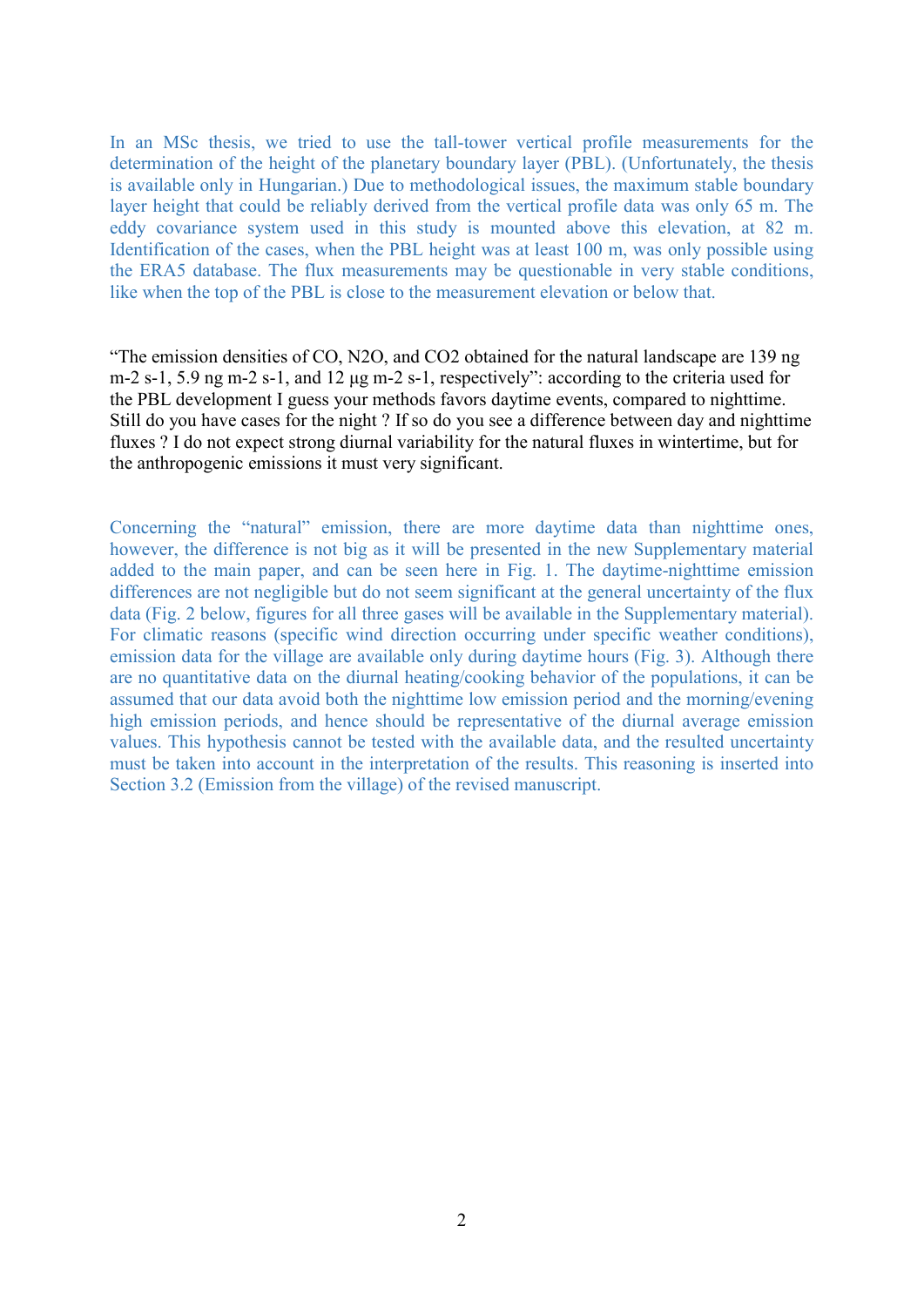In an MSc thesis, we tried to use the tall-tower vertical profile measurements for the determination of the height of the planetary boundary layer (PBL). (Unfortunately, the thesis is available only in Hungarian.) Due to methodological issues, the maximum stable boundary layer height that could be reliably derived from the vertical profile data was only 65 m. The eddy covariance system used in this study is mounted above this elevation, at 82 m. Identification of the cases, when the PBL height was at least 100 m, was only possible using the ERA5 database. The flux measurements may be questionable in very stable conditions, like when the top of the PBL is close to the measurement elevation or below that.

"The emission densities of CO, N2O, and CO2 obtained for the natural landscape are 139 ng m-2 s-1, 5.9 ng m-2 s-1, and 12 μg m-2 s-1, respectively": according to the criteria used for the PBL development I guess your methods favors daytime events, compared to nighttime. Still do you have cases for the night ? If so do you see a difference between day and nighttime fluxes ? I do not expect strong diurnal variability for the natural fluxes in wintertime, but for the anthropogenic emissions it must very significant.

Concerning the "natural" emission, there are more daytime data than nighttime ones, however, the difference is not big as it will be presented in the new Supplementary material added to the main paper, and can be seen here in Fig. 1. The daytime-nighttime emission differences are not negligible but do not seem significant at the general uncertainty of the flux data (Fig. 2 below, figures for all three gases will be available in the Supplementary material). For climatic reasons (specific wind direction occurring under specific weather conditions), emission data for the village are available only during daytime hours (Fig. 3). Although there are no quantitative data on the diurnal heating/cooking behavior of the populations, it can be assumed that our data avoid both the nighttime low emission period and the morning/evening high emission periods, and hence should be representative of the diurnal average emission values. This hypothesis cannot be tested with the available data, and the resulted uncertainty must be taken into account in the interpretation of the results. This reasoning is inserted into Section 3.2 (Emission from the village) of the revised manuscript.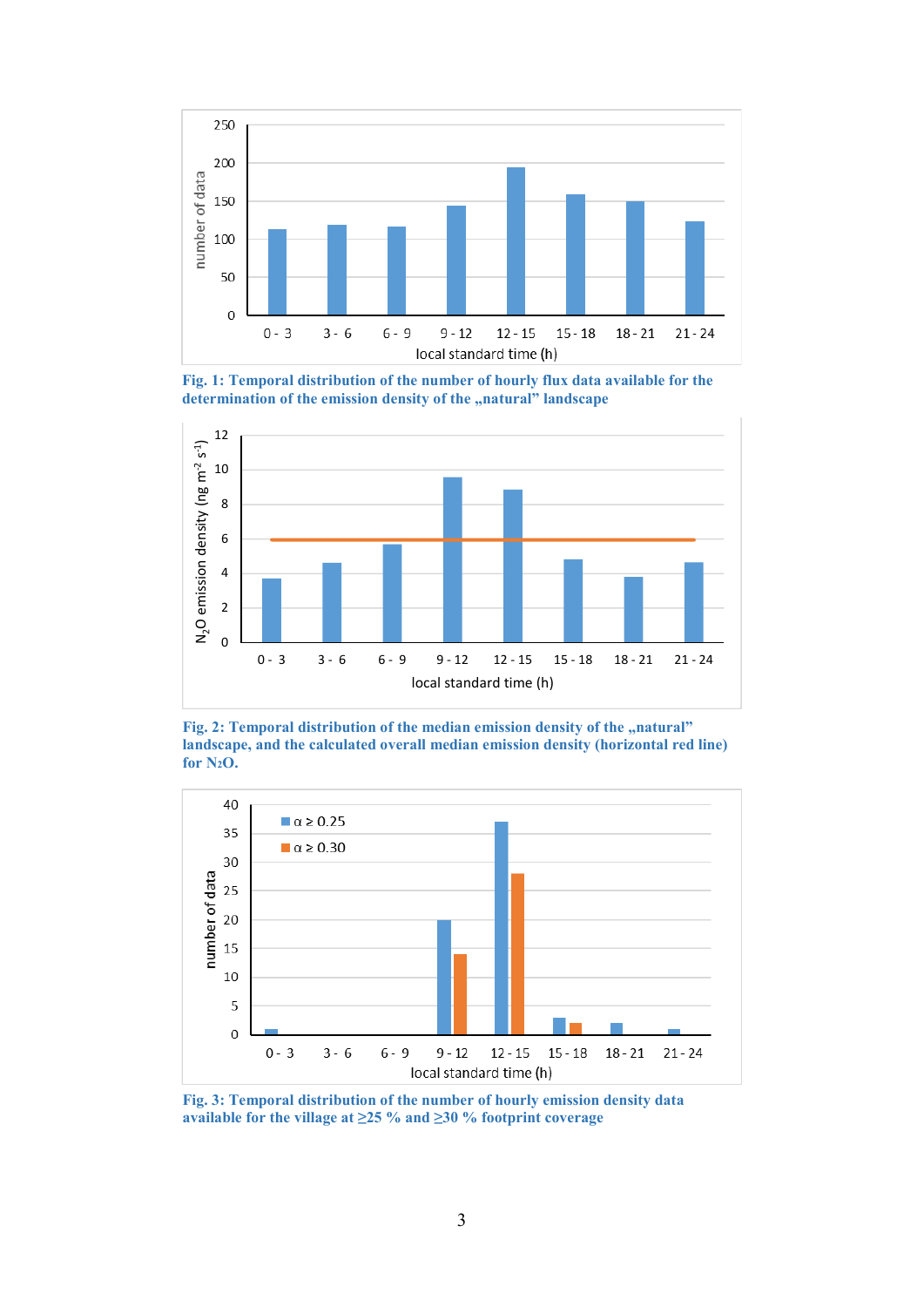

Fig. 1: Temporal distribution of the number of hourly flux data available for the determination of the emission density of the "natural" landscape



Fig. 2: Temporal distribution of the median emission density of the "natural" landscape, and the calculated overall median emission density (horizontal red line) for N2O.



Fig. 3: Temporal distribution of the number of hourly emission density data available for the village at  $\geq$  25 % and  $\geq$  30 % footprint coverage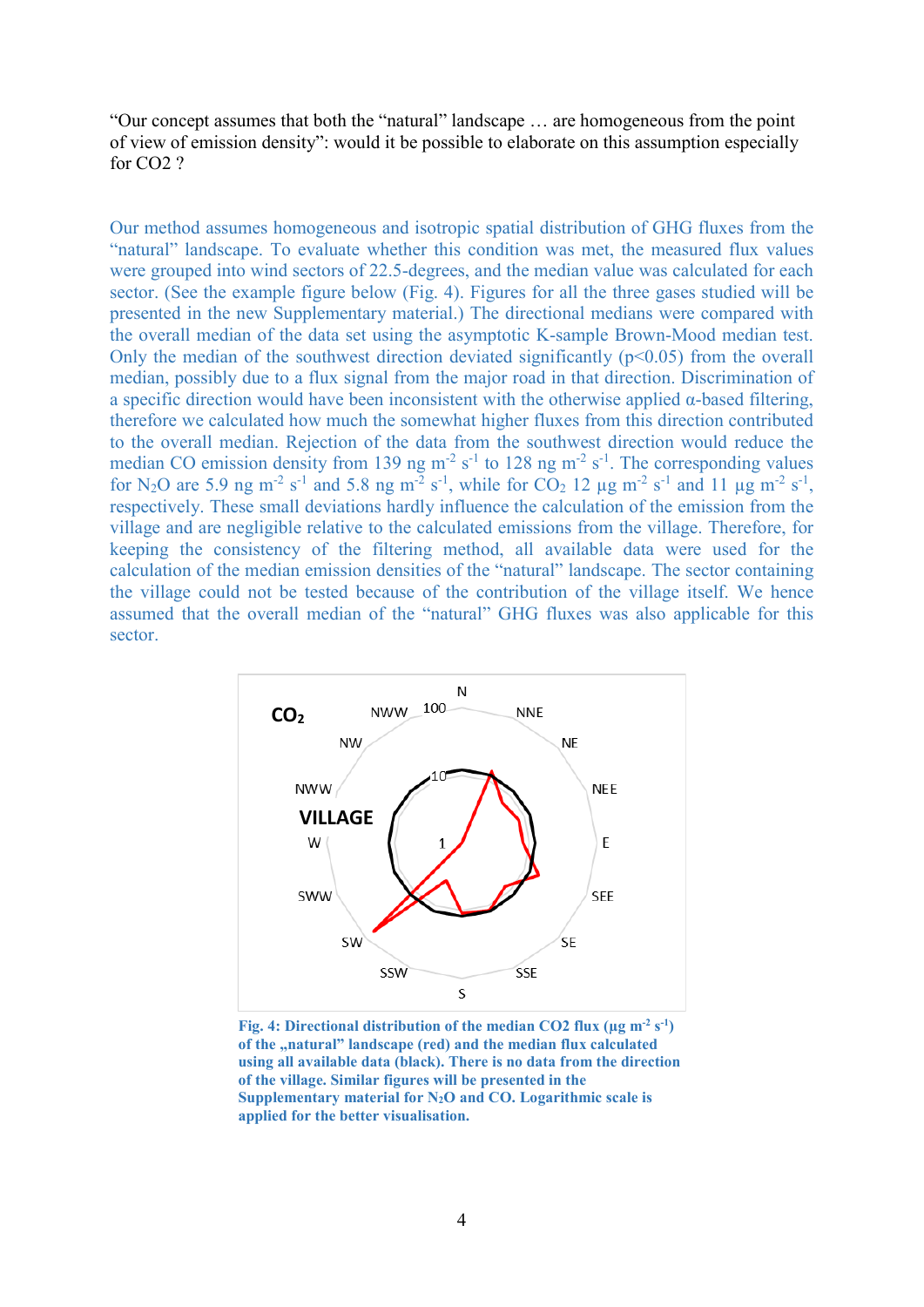"Our concept assumes that both the "natural" landscape … are homogeneous from the point of view of emission density": would it be possible to elaborate on this assumption especially for CO2 ?

Our method assumes homogeneous and isotropic spatial distribution of GHG fluxes from the "natural" landscape. To evaluate whether this condition was met, the measured flux values were grouped into wind sectors of 22.5-degrees, and the median value was calculated for each sector. (See the example figure below (Fig. 4). Figures for all the three gases studied will be presented in the new Supplementary material.) The directional medians were compared with the overall median of the data set using the asymptotic K-sample Brown-Mood median test. Only the median of the southwest direction deviated significantly  $(p<0.05)$  from the overall median, possibly due to a flux signal from the major road in that direction. Discrimination of a specific direction would have been inconsistent with the otherwise applied α-based filtering, therefore we calculated how much the somewhat higher fluxes from this direction contributed to the overall median. Rejection of the data from the southwest direction would reduce the median CO emission density from 139 ng  $m^{-2} s^{-1}$  to 128 ng  $m^{-2} s^{-1}$ . The corresponding values for N<sub>2</sub>O are 5.9 ng m<sup>-2</sup> s<sup>-1</sup> and 5.8 ng m<sup>-2</sup> s<sup>-1</sup>, while for CO<sub>2</sub> 12 µg m<sup>-2</sup> s<sup>-1</sup> and 11 µg m<sup>-2</sup> s<sup>-1</sup>, respectively. These small deviations hardly influence the calculation of the emission from the village and are negligible relative to the calculated emissions from the village. Therefore, for keeping the consistency of the filtering method, all available data were used for the calculation of the median emission densities of the "natural" landscape. The sector containing the village could not be tested because of the contribution of the village itself. We hence assumed that the overall median of the "natural" GHG fluxes was also applicable for this sector.



Fig. 4: Directional distribution of the median CO2 flux ( $\mu$ g m<sup>-2</sup> s<sup>-1</sup>) of the "natural" landscape (red) and the median flux calculated using all available data (black). There is no data from the direction of the village. Similar figures will be presented in the Supplementary material for  $N_2O$  and  $CO$ . Logarithmic scale is applied for the better visualisation.